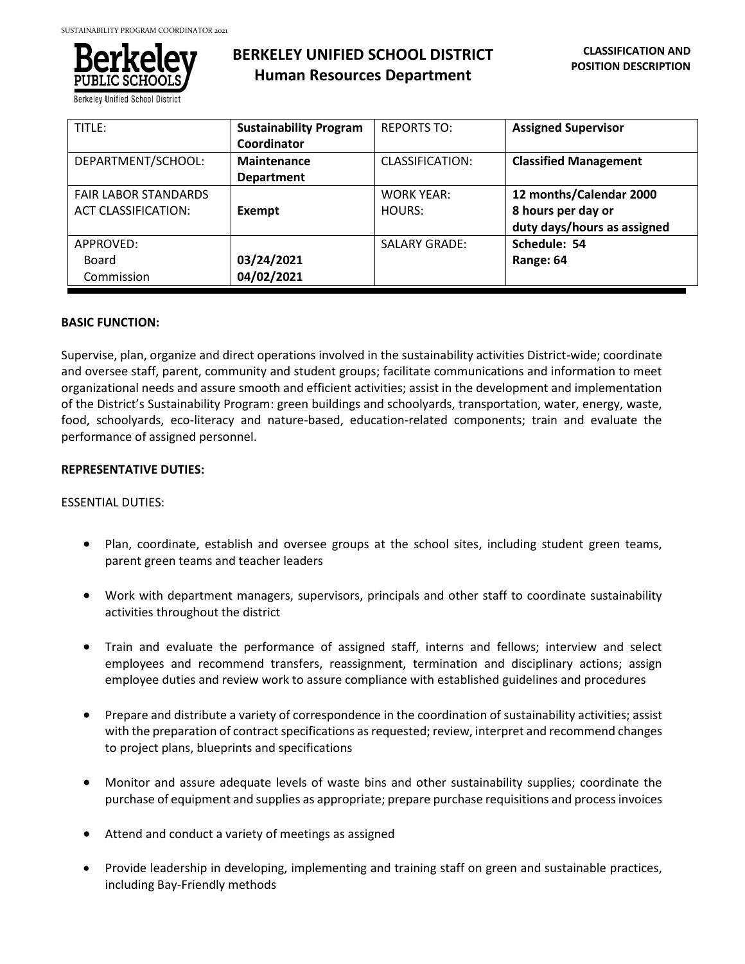

**BERKELEY UNIFIED SCHOOL DISTRICT Human Resources Department**

| TITLE:                      | <b>Sustainability Program</b> | <b>REPORTS TO:</b>   | <b>Assigned Supervisor</b>   |
|-----------------------------|-------------------------------|----------------------|------------------------------|
|                             | Coordinator                   |                      |                              |
| DEPARTMENT/SCHOOL:          | Maintenance                   | CLASSIFICATION:      | <b>Classified Management</b> |
|                             | <b>Department</b>             |                      |                              |
| <b>FAIR LABOR STANDARDS</b> |                               | <b>WORK YEAR:</b>    | 12 months/Calendar 2000      |
| <b>ACT CLASSIFICATION:</b>  | Exempt                        | HOURS:               | 8 hours per day or           |
|                             |                               |                      | duty days/hours as assigned  |
| APPROVED:                   |                               | <b>SALARY GRADE:</b> | Schedule: 54                 |
| Board                       | 03/24/2021                    |                      | Range: 64                    |
| Commission                  | 04/02/2021                    |                      |                              |

# **BASIC FUNCTION:**

Supervise, plan, organize and direct operations involved in the sustainability activities District-wide; coordinate and oversee staff, parent, community and student groups; facilitate communications and information to meet organizational needs and assure smooth and efficient activities; assist in the development and implementation of the District's Sustainability Program: green buildings and schoolyards, transportation, water, energy, waste, food, schoolyards, eco-literacy and nature-based, education-related components; train and evaluate the performance of assigned personnel.

# **REPRESENTATIVE DUTIES:**

# ESSENTIAL DUTIES:

- Plan, coordinate, establish and oversee groups at the school sites, including student green teams, parent green teams and teacher leaders
- Work with department managers, supervisors, principals and other staff to coordinate sustainability activities throughout the district
- Train and evaluate the performance of assigned staff, interns and fellows; interview and select employees and recommend transfers, reassignment, termination and disciplinary actions; assign employee duties and review work to assure compliance with established guidelines and procedures
- Prepare and distribute a variety of correspondence in the coordination of sustainability activities; assist with the preparation of contract specifications as requested; review, interpret and recommend changes to project plans, blueprints and specifications
- Monitor and assure adequate levels of waste bins and other sustainability supplies; coordinate the purchase of equipment and supplies as appropriate; prepare purchase requisitions and process invoices
- Attend and conduct a variety of meetings as assigned
- Provide leadership in developing, implementing and training staff on green and sustainable practices, including Bay-Friendly methods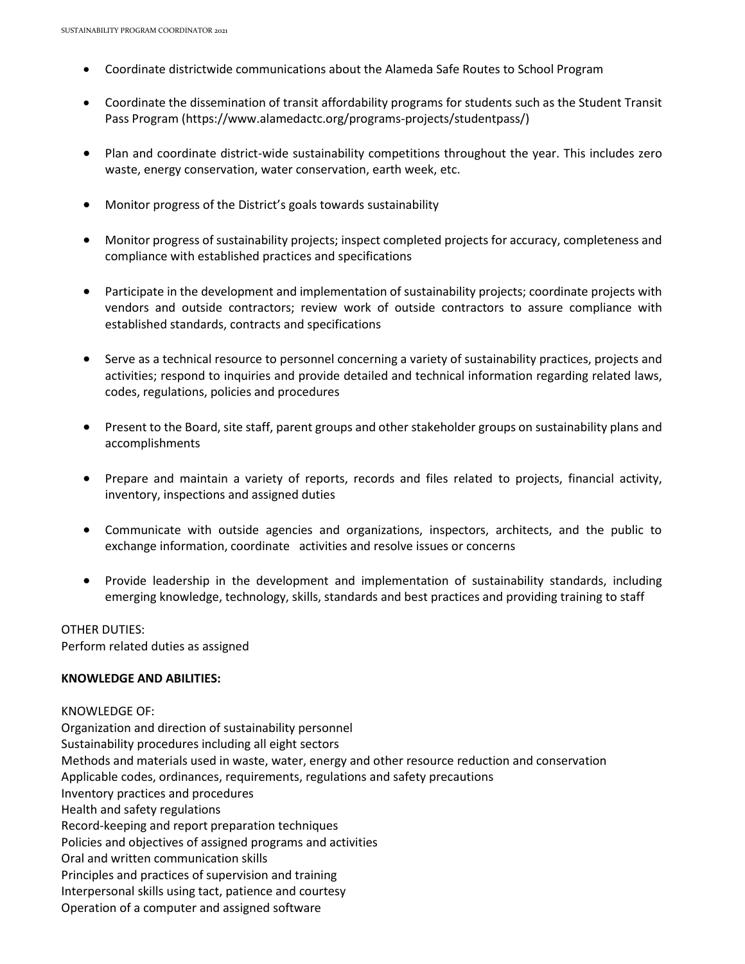- Coordinate districtwide communications about the Alameda Safe Routes to School Program
- Coordinate the dissemination of transit affordability programs for students such as the Student Transit Pass Program (https://www.alamedactc.org/programs-projects/studentpass/)
- Plan and coordinate district-wide sustainability competitions throughout the year. This includes zero waste, energy conservation, water conservation, earth week, etc.
- Monitor progress of the District's goals towards sustainability
- Monitor progress of sustainability projects; inspect completed projects for accuracy, completeness and compliance with established practices and specifications
- Participate in the development and implementation of sustainability projects; coordinate projects with vendors and outside contractors; review work of outside contractors to assure compliance with established standards, contracts and specifications
- Serve as a technical resource to personnel concerning a variety of sustainability practices, projects and activities; respond to inquiries and provide detailed and technical information regarding related laws, codes, regulations, policies and procedures
- Present to the Board, site staff, parent groups and other stakeholder groups on sustainability plans and accomplishments
- Prepare and maintain a variety of reports, records and files related to projects, financial activity, inventory, inspections and assigned duties
- Communicate with outside agencies and organizations, inspectors, architects, and the public to exchange information, coordinate activities and resolve issues or concerns
- Provide leadership in the development and implementation of sustainability standards, including emerging knowledge, technology, skills, standards and best practices and providing training to staff

OTHER DUTIES: Perform related duties as assigned

### **KNOWLEDGE AND ABILITIES:**

KNOWLEDGE OF: Organization and direction of sustainability personnel Sustainability procedures including all eight sectors Methods and materials used in waste, water, energy and other resource reduction and conservation Applicable codes, ordinances, requirements, regulations and safety precautions Inventory practices and procedures Health and safety regulations Record-keeping and report preparation techniques Policies and objectives of assigned programs and activities Oral and written communication skills Principles and practices of supervision and training Interpersonal skills using tact, patience and courtesy Operation of a computer and assigned software